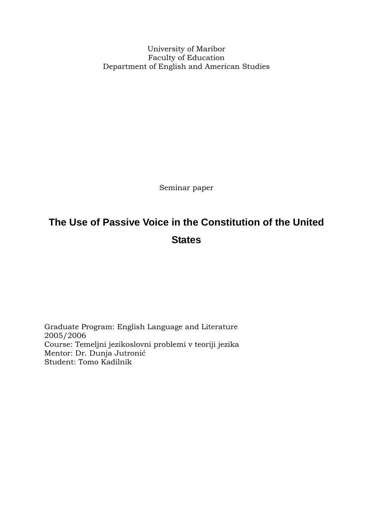University of Maribor Faculty of Education Department of English and American Studies

Seminar paper

# <span id="page-0-0"></span>**The Use of Passive Voice in the Constitution of the United States**

Graduate Program: English Language and Literature 2005/2006 Course: Temeljni jezikoslovni problemi v teoriji jezika Mentor: Dr. Dunja Jutronić Student: Tomo Kadilnik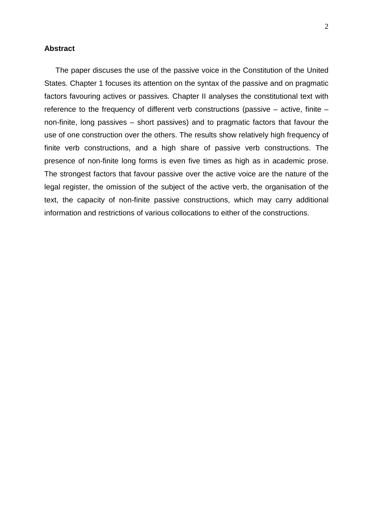#### **Abstract**

The paper discuses the use of the passive voice in the Constitution of the United States. Chapter 1 focuses its attention on the syntax of the passive and on pragmatic factors favouring actives or passives. Chapter II analyses the constitutional text with reference to the frequency of different verb constructions (passive – active, finite – non-finite, long passives – short passives) and to pragmatic factors that favour the use of one construction over the others. The results show relatively high frequency of finite verb constructions, and a high share of passive verb constructions. The presence of non-finite long forms is even five times as high as in academic prose. The strongest factors that favour passive over the active voice are the nature of the legal register, the omission of the subject of the active verb, the organisation of the text, the capacity of non-finite passive constructions, which may carry additional information and restrictions of various collocations to either of the constructions.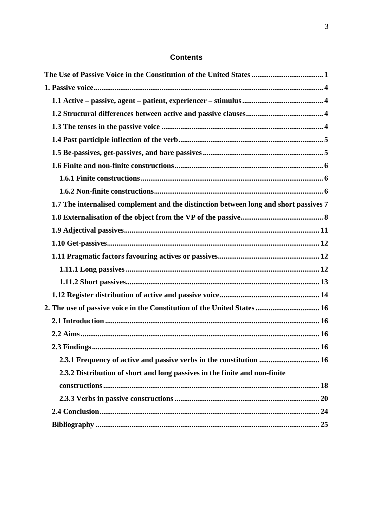#### **Contents**

| 1.7 The internalised complement and the distinction between long and short passives 7 |
|---------------------------------------------------------------------------------------|
|                                                                                       |
|                                                                                       |
|                                                                                       |
|                                                                                       |
|                                                                                       |
|                                                                                       |
|                                                                                       |
| 2. The use of passive voice in the Constitution of the United States  16              |
|                                                                                       |
|                                                                                       |
|                                                                                       |
|                                                                                       |
| 2.3.2 Distribution of short and long passives in the finite and non-finite            |
|                                                                                       |
|                                                                                       |
|                                                                                       |
|                                                                                       |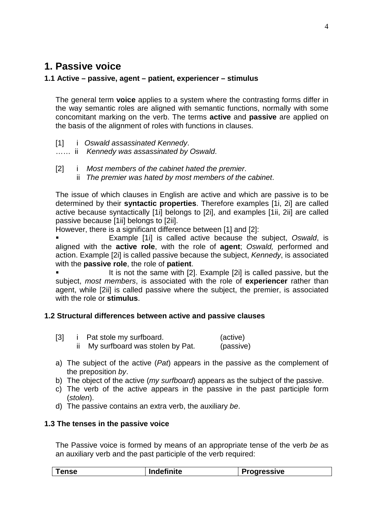# <span id="page-3-0"></span>**1. Passive voice**

# <span id="page-3-1"></span>**1.1 Active – passive, agent – patient, experiencer – stimulus**

The general term **voice** applies to a system where the contrasting forms differ in the way semantic roles are aligned with semantic functions, normally with some concomitant marking on the verb. The terms **active** and **passive** are applied on the basis of the alignment of roles with functions in clauses.

[1] i *Oswald assassinated Kennedy*.

…… ii *Kennedy was assassinated by Oswald*.

[2] i *Most members of the cabinet hated the premier*. ii *The premier was hated by most members of the cabinet*.

The issue of which clauses in English are active and which are passive is to be determined by their **syntactic properties**. Therefore examples [1i, 2i] are called active because syntactically [1i] belongs to [2i], and examples [1ii, 2ii] are called passive because [1ii] belongs to [2ii].

However, there is a significant difference between [1] and [2]:

 Example [1i] is called active because the subject, *Oswald*, is aligned with the **active role**, with the role of **agent**; *Oswald,* performed and action. Example [2i] is called passive because the subject, *Kennedy*, is associated with the **passive role**, the role of **patient**.

 It is not the same with [2]. Example [2i] is called passive, but the subject, *most members*, is associated with the role of **experiencer** rather than agent, while [2ii] is called passive where the subject, the premier, is associated with the role or **stimulus**.

# <span id="page-3-2"></span>**1.2 Structural differences between active and passive clauses**

| [3] | Pat stole my surfboard.         | (active)  |
|-----|---------------------------------|-----------|
|     | My surfboard was stolen by Pat. | (passive) |

- a) The subject of the active (*Pat*) appears in the passive as the complement of the preposition *by*.
- b) The object of the active (*my surfboard*) appears as the subject of the passive.
- c) The verb of the active appears in the passive in the past participle form (*stolen*).
- d) The passive contains an extra verb, the auxiliary *be*.

#### <span id="page-3-3"></span>**1.3 The tenses in the passive voice**

The Passive voice is formed by means of an appropriate tense of the verb *be* as an auxiliary verb and the past participle of the verb required:

| $\blacksquare$ . $\blacksquare$ . $\blacksquare$<br>$\blacksquare$<br>. 196<br>ᇬᆺ |
|-----------------------------------------------------------------------------------|
|-----------------------------------------------------------------------------------|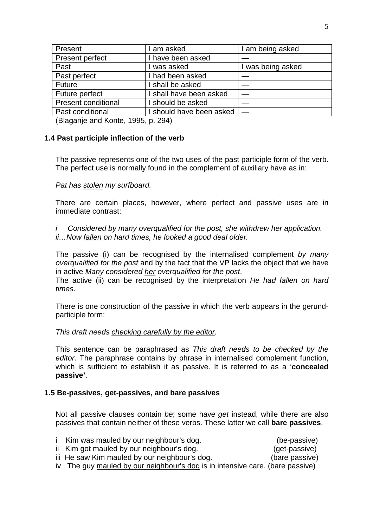| Present                    | I am asked               | I am being asked  |
|----------------------------|--------------------------|-------------------|
| Present perfect            | I have been asked        |                   |
| Past                       | l was asked              | I was being asked |
| Past perfect               | I had been asked         |                   |
| <b>Future</b>              | I shall be asked         |                   |
| Future perfect             | I shall have been asked  |                   |
| <b>Present conditional</b> | I should be asked        |                   |
| Past conditional           | I should have been asked |                   |
|                            |                          |                   |

(Blaganje and Konte, 1995, p. 294)

# <span id="page-4-0"></span>**1.4 Past participle inflection of the verb**

The passive represents one of the two uses of the past participle form of the verb. The perfect use is normally found in the complement of auxiliary have as in:

#### *Pat has stolen my surfboard.*

There are certain places, however, where perfect and passive uses are in immediate contrast:

*i Considered by many overqualified for the post, she withdrew her application. ii…Now fallen on hard times, he looked a good deal older.* 

The passive (i) can be recognised by the internalised complement *by many overqualified for the post* and by the fact that the VP lacks the object that we have in active *Many considered her overqualified for the post*.

The active (ii) can be recognised by the interpretation *He had fallen on hard times*.

There is one construction of the passive in which the verb appears in the gerundparticiple form:

#### *This draft needs checking carefully by the editor.*

This sentence can be paraphrased as *This draft needs to be checked by the editor*. The paraphrase contains by phrase in internalised complement function, which is sufficient to establish it as passive. It is referred to as a '**concealed passive'**.

#### <span id="page-4-1"></span>**1.5 Be-passives, get-passives, and bare passives**

Not all passive clauses contain *be*; some have *get* instead, while there are also passives that contain neither of these verbs. These latter we call **bare passives**.

| Kim was mauled by our neighbour's dog.                                        | (be-passive)   |
|-------------------------------------------------------------------------------|----------------|
| ii Kim got mauled by our neighbour's dog.                                     | (get-passive)  |
| iii He saw Kim mauled by our neighbour's dog.                                 | (bare passive) |
| iv The guy mauled by our neighbour's dog is in intensive care. (bare passive) |                |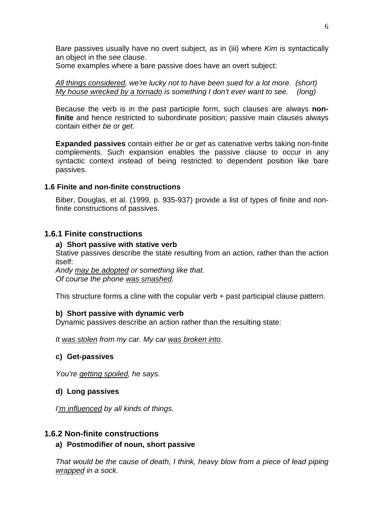Bare passives usually have no overt subject, as in (iii) where *Kim* is syntactically an object in the *see* clause.

Some examples where a bare passive does have an overt subject:

*All things considered, we're lucky not to have been sued for a lot more. (short) My house wrecked by a tornado is something I don't ever want to see. (long)*

Because the verb is in the past participle form, such clauses are always **nonfinite** and hence restricted to subordinate position; passive main clauses always contain either *be* or *get*.

**Expanded passives** contain either *be* or *get* as catenative verbs taking non-finite complements. Such expansion enables the passive clause to occur in any syntactic context instead of being restricted to dependent position like bare passives.

#### <span id="page-5-0"></span>**1.6 Finite and non-finite constructions**

Biber, Douglas, et al. (1999, p. 935-937) provide a list of types of finite and nonfinite constructions of passives.

# <span id="page-5-1"></span>**1.6.1 Finite constructions**

#### **a) Short passive with stative verb**

Stative passives describe the state resulting from an action, rather than the action itself:

*Andy may be adopted or something like that. Of course the phone was smashed.* 

This structure forms a cline with the copular verb + past participial clause pattern.

#### **b) Short passive with dynamic verb**

Dynamic passives describe an action rather than the resulting state:

*It was stolen from my car. My car was broken into.* 

#### **c) Get-passives**

*You're getting spoiled, he says.* 

#### **d) Long passives**

*I'm influenced by all kinds of things.* 

#### <span id="page-5-2"></span>**1.6.2 Non-finite constructions**

#### **a) Postmodifier of noun, short passive**

*That would be the cause of death, I think, heavy blow from a piece of lead piping wrapped in a sock.*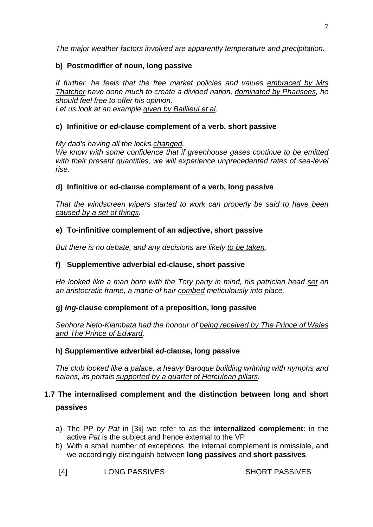*The major weather factors involved are apparently temperature and precipitation.* 

# **b) Postmodifier of noun, long passive**

*If further, he feels that the free market policies and values embraced by Mrs Thatcher have done much to create a divided nation, dominated by Pharisees, he should feel free to offer his opinion. Let us look at an example given by Baillieul et al.* 

# **c) Infinitive or** *ed***-clause complement of a verb, short passive**

*My dad's having all the locks changed. We know with some confidence that if greenhouse gases continue to be emitted with their present quantities, we will experience unprecedented rates of sea-level rise.* 

# **d) Infinitive or ed-clause complement of a verb, long passive**

*That the windscreen wipers started to work can properly be said to have been caused by a set of things.* 

# **e) To-infinitive complement of an adjective, short passive**

*But there is no debate, and any decisions are likely to be taken.* 

# **f) Supplementive adverbial ed-clause, short passive**

*He looked like a man born with the Tory party in mind, his patrician head set on an aristocratic frame, a mane of hair combed meticulously into place.* 

# **g)** *Ing***-clause complement of a preposition, long passive**

*Senhora Neto-Kiambata had the honour of being received by The Prince of Wales and The Prince of Edward.* 

# **h) Supplementive adverbial** *ed***-clause, long passive**

*The club looked like a palace, a heavy Baroque building writhing with nymphs and naians, its portals supported by a quartet of Herculean pillars.* 

# <span id="page-6-0"></span>**1.7 The internalised complement and the distinction between long and short passives**

- a) The PP *by Pat* in [3ii] we refer to as the **internalized complement**: in the active *Pat* is the subject and hence external to the VP
- b) With a small number of exceptions, the internal complement is omissible, and we accordingly distinguish between **long passives** and **short passives**.

[4] LONG PASSIVES SHORT PASSIVES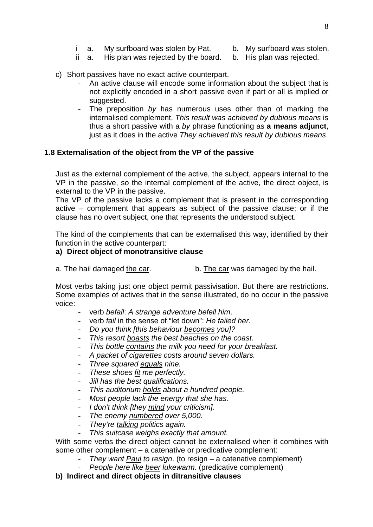- i a. My surfboard was stolen by Pat. b. My surfboard was stolen.
- 
- ii a. His plan was rejected by the board. b. His plan was rejected.
- 
- c) Short passives have no exact active counterpart.
	- An active clause will encode some information about the subject that is not explicitly encoded in a short passive even if part or all is implied or suggested.
	- The preposition by has numerous uses other than of marking the internalised complement. *This result was achieved by dubious means* is thus a short passive with a *by* phrase functioning as **a means adjunct**, just as it does in the active *They achieved this result by dubious means*.

# <span id="page-7-0"></span>**1.8 Externalisation of the object from the VP of the passive**

Just as the external complement of the active, the subject, appears internal to the VP in the passive, so the internal complement of the active, the direct object, is external to the VP in the passive.

The VP of the passive lacks a complement that is present in the corresponding active – complement that appears as subject of the passive clause; or if the clause has no overt subject, one that represents the understood subject.

The kind of the complements that can be externalised this way, identified by their function in the active counterpart:

#### **a) Direct object of monotransitive clause**

a. The hail damaged the car. b. The car was damaged by the hail.

Most verbs taking just one object permit passivisation. But there are restrictions. Some examples of actives that in the sense illustrated, do no occur in the passive voice:

- verb *befall*: *A strange adventure befell him*.
- verb *fail* in the sense of "let down": *He failed her*.
- *Do you think [this behaviour becomes you]?*
- *This resort boasts the best beaches on the coast.*
- *This bottle contains the milk you need for your breakfast.*
- *A packet of cigarettes costs around seven dollars.*
- *Three squared equals nine.*
- *These shoes fit me perfectly.*
- *Jill has the best qualifications.*
- *This auditorium holds about a hundred people.*
- *Most people lack the energy that she has.*
- *I don't think [they mind your criticism].*
- *The enemy numbered over 5,000.*
- *They're talking politics again.*
- *This suitcase weighs exactly that amount.*

With some verbs the direct object cannot be externalised when it combines with some other complement – a catenative or predicative complement:

- *They want Paul to resign*. (to resign a catenative complement)
	- *People here like beer lukewarm*. (predicative complement)

**b) Indirect and direct objects in ditransitive clauses**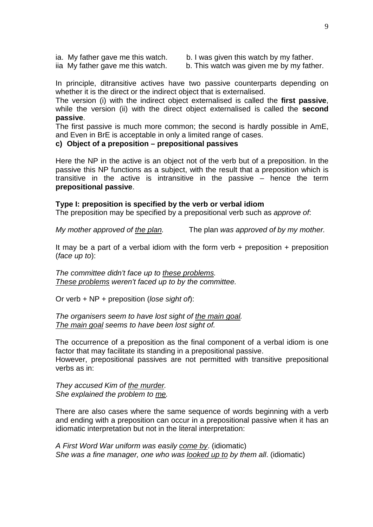ia. My father gave me this watch. b. I was given this watch by my father.

iia My father gave me this watch.  $\blacksquare$  b. This watch was given me by my father.

In principle, ditransitive actives have two passive counterparts depending on whether it is the direct or the indirect object that is externalised.

The version (i) with the indirect object externalised is called the **first passive**, while the version (ii) with the direct object externalised is called the **second passive**.

The first passive is much more common; the second is hardly possible in AmE, and Even in BrE is acceptable in only a limited range of cases.

#### **c) Object of a preposition – prepositional passives**

Here the NP in the active is an object not of the verb but of a preposition. In the passive this NP functions as a subject, with the result that a preposition which is transitive in the active is intransitive in the passive – hence the term **prepositional passive**.

#### **Type I: preposition is specified by the verb or verbal idiom**

The preposition may be specified by a prepositional verb such as *approve of*:

*My mother approved of the plan.* The plan *was approved of by my mother.*

It may be a part of a verbal idiom with the form verb  $+$  preposition  $+$  preposition (*face up to*):

*The committee didn't face up to these problems. These problems weren't faced up to by the committee.* 

Or verb + NP + preposition (*lose sight of*):

*The organisers seem to have lost sight of the main goal. The main goal seems to have been lost sight of.* 

The occurrence of a preposition as the final component of a verbal idiom is one factor that may facilitate its standing in a prepositional passive. However, prepositional passives are not permitted with transitive prepositional verbs as in:

*They accused Kim of the murder. She explained the problem to me.* 

There are also cases where the same sequence of words beginning with a verb and ending with a preposition can occur in a prepositional passive when it has an idiomatic interpretation but not in the literal interpretation:

*A First Word War uniform was easily come by*. (idiomatic) *She was a fine manager, one who was looked up to by them all*. (idiomatic)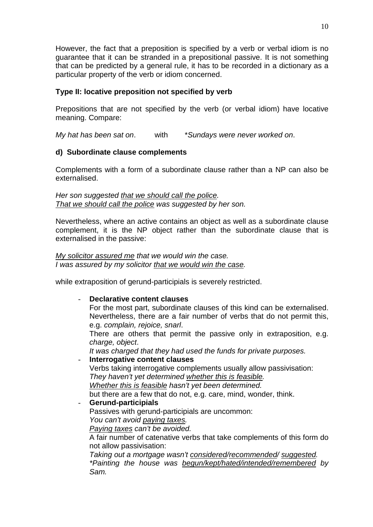However, the fact that a preposition is specified by a verb or verbal idiom is no guarantee that it can be stranded in a prepositional passive. It is not something that can be predicted by a general rule, it has to be recorded in a dictionary as a particular property of the verb or idiom concerned.

# **Type II: locative preposition not specified by verb**

Prepositions that are not specified by the verb (or verbal idiom) have locative meaning. Compare:

*My hat has been sat on*. with \**Sundays were never worked on*.

# **d) Subordinate clause complements**

Complements with a form of a subordinate clause rather than a NP can also be externalised.

*Her son suggested that we should call the police. That we should call the police was suggested by her son.* 

Nevertheless, where an active contains an object as well as a subordinate clause complement, it is the NP object rather than the subordinate clause that is externalised in the passive:

#### *My solicitor assured me that we would win the case. I was assured by my solicitor that we would win the case.*

while extraposition of gerund-participials is severely restricted.

#### Declarative content clauses

For the most part, subordinate clauses of this kind can be externalised. Nevertheless, there are a fair number of verbs that do not permit this, e.g. *complain, rejoice, snarl*.

There are others that permit the passive only in extraposition, e.g. *charge, object*.

*It was charged that they had used the funds for private purposes.*

- **Interrogative content clauses**

Verbs taking interrogative complements usually allow passivisation: *They haven't yet determined whether this is feasible. Whether this is feasible hasn't yet been determined.*  but there are a few that do not, e.g. care, mind, wonder, think.

- **Gerund-participials**

Passives with gerund-participials are uncommon:

*You can't avoid paying taxes.* 

*Paying taxes can't be avoided.* 

A fair number of catenative verbs that take complements of this form do not allow passivisation:

*Taking out a mortgage wasn't considered/recommended/ suggested. \*Painting the house was begun/kept/hated/intended/remembered by Sam.*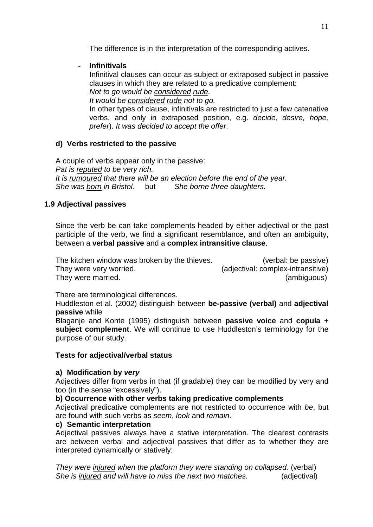The difference is in the interpretation of the corresponding actives.

# - **Infinitivals**

Infinitival clauses can occur as subject or extraposed subject in passive clauses in which they are related to a predicative complement: *Not to go would be considered rude.* 

*It would be considered rude not to go.* 

In other types of clause, infinitivals are restricted to just a few catenative verbs, and only in extraposed position, e.g. *decide, desire, hope, prefer*). *It was decided to accept the offer*.

#### **d) Verbs restricted to the passive**

A couple of verbs appear only in the passive: *Pat is reputed to be very rich. It is rumoured that there will be an election before the end of the year. She was born in Bristol.* but *She borne three daughters.* 

# <span id="page-10-0"></span>**1.9 Adjectival passives**

Since the verb be can take complements headed by either adjectival or the past participle of the verb, we find a significant resemblance, and often an ambiguity, between a **verbal passive** and a **complex intransitive clause**.

The kitchen window was broken by the thieves. (verbal: be passive) They were very worried. (adjectival: complex-intransitive) They were married. They were married.

There are terminological differences.

Huddleston et al. (2002) distinguish between **be-passive (verbal)** and **adjectival passive** while

Blaganje and Konte (1995) distinguish between **passive voice** and **copula + subject complement**. We will continue to use Huddleston's terminology for the purpose of our study.

#### **Tests for adjectival/verbal status**

#### **a) Modification by** *very*

Adjectives differ from verbs in that (if gradable) they can be modified by very and too (in the sense "excessively").

#### **b) Occurrence with other verbs taking predicative complements**

Adjectival predicative complements are not restricted to occurrence with *be*, but are found with such verbs as *seem*, *look* and *remain*.

#### **c) Semantic interpretation**

Adjectival passives always have a stative interpretation. The clearest contrasts are between verbal and adjectival passives that differ as to whether they are interpreted dynamically or statively:

*They were injured when the platform they were standing on collapsed.* (verbal) *She is injured and will have to miss the next two matches.* (adjectival)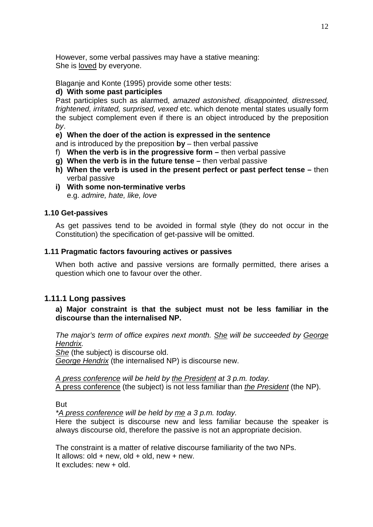However, some verbal passives may have a stative meaning: She is loved by everyone.

Blaganje and Konte (1995) provide some other tests:

# **d) With some past participles**

Past participles such as alarmed*, amazed astonished, disappointed, distressed, frightened, irritated, surprised, vexed* etc. which denote mental states usually form the subject complement even if there is an object introduced by the preposition *by*.

**e) When the doer of the action is expressed in the sentence**

and is introduced by the preposition **by** – then verbal passive

- f) **When the verb is in the progressive form –** then verbal passive
- **g) When the verb is in the future tense –** then verbal passive
- **h) When the verb is used in the present perfect or past perfect tense –** then verbal passive
- **i) With some non-terminative verbs** e.g. *admire, hate, like, love*

#### <span id="page-11-0"></span>**1.10 Get-passives**

As get passives tend to be avoided in formal style (they do not occur in the Constitution) the specification of get-passive will be omitted.

# <span id="page-11-1"></span>**1.11 Pragmatic factors favouring actives or passives**

When both active and passive versions are formally permitted, there arises a question which one to favour over the other.

# <span id="page-11-2"></span>**1.11.1 Long passives**

**a) Major constraint is that the subject must not be less familiar in the discourse than the internalised NP.** 

*The major's term of office expires next month. She will be succeeded by George Hendrix.* 

*She* (the subject) is discourse old.

*George Hendrix* (the internalised NP) is discourse new.

*A press conference will be held by the President at 3 p.m. today.*  A press conference (the subject) is not less familiar than *the President* (the NP).

But

*\*A press conference will be held by me a 3 p.m. today.* 

Here the subject is discourse new and less familiar because the speaker is always discourse old, therefore the passive is not an appropriate decision.

The constraint is a matter of relative discourse familiarity of the two NPs. It allows: old + new, old + old, new + new. It excludes: new + old.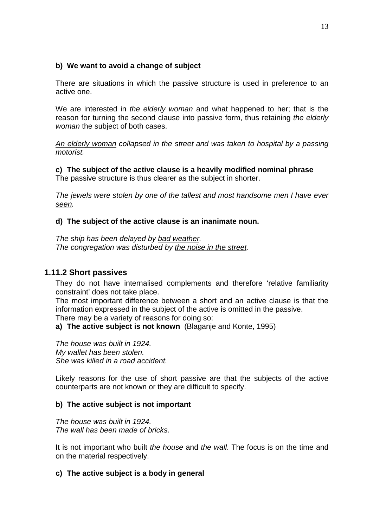# **b) We want to avoid a change of subject**

There are situations in which the passive structure is used in preference to an active one.

We are interested in *the elderly woman* and what happened to her; that is the reason for turning the second clause into passive form, thus retaining *the elderly woman* the subject of both cases.

*An elderly woman collapsed in the street and was taken to hospital by a passing motorist.* 

**c) The subject of the active clause is a heavily modified nominal phrase** The passive structure is thus clearer as the subject in shorter.

*The jewels were stolen by one of the tallest and most handsome men I have ever seen.* 

#### **d) The subject of the active clause is an inanimate noun.**

*The ship has been delayed by bad weather. The congregation was disturbed by the noise in the street.* 

# <span id="page-12-0"></span>**1.11.2 Short passives**

They do not have internalised complements and therefore 'relative familiarity constraint' does not take place.

The most important difference between a short and an active clause is that the information expressed in the subject of the active is omitted in the passive. There may be a variety of reasons for doing so:

**a) The active subject is not known** (Blaganje and Konte, 1995)

*The house was built in 1924. My wallet has been stolen. She was killed in a road accident.* 

Likely reasons for the use of short passive are that the subjects of the active counterparts are not known or they are difficult to specify.

#### **b) The active subject is not important**

*The house was built in 1924. The wall has been made of bricks.* 

It is not important who built *the house* and *the wall*. The focus is on the time and on the material respectively.

#### **c) The active subject is a body in general**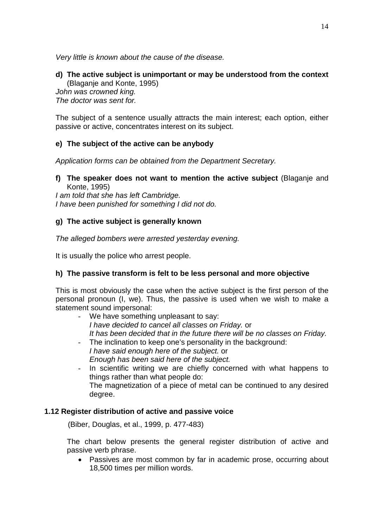*Very little is known about the cause of the disease.* 

#### **d) The active subject is unimportant or may be understood from the context** (Blaganje and Konte, 1995)

*John was crowned king. The doctor was sent for.* 

The subject of a sentence usually attracts the main interest; each option, either passive or active, concentrates interest on its subject.

# **e) The subject of the active can be anybody**

*Application forms can be obtained from the Department Secretary.* 

# **f) The speaker does not want to mention the active subject** (Blaganje and Konte, 1995)

*I am told that she has left Cambridge. I have been punished for something I did not do.* 

# **g) The active subject is generally known**

*The alleged bombers were arrested yesterday evening.* 

It is usually the police who arrest people.

# **h) The passive transform is felt to be less personal and more objective**

This is most obviously the case when the active subject is the first person of the personal pronoun (I, we). Thus, the passive is used when we wish to make a statement sound impersonal:

- We have something unpleasant to say: *I have decided to cancel all classes on Friday.* or *It has been decided that in the future there will be no classes on Friday.*
- The inclination to keep one's personality in the background: *I have said enough here of the subject.* or *Enough has been said here of the subject.*
- In scientific writing we are chiefly concerned with what happens to things rather than what people do: The magnetization of a piece of metal can be continued to any desired degree.

# <span id="page-13-0"></span>**1.12 Register distribution of active and passive voice**

(Biber, Douglas, et al., 1999, p. 477-483)

The chart below presents the general register distribution of active and passive verb phrase.

• Passives are most common by far in academic prose, occurring about 18,500 times per million words.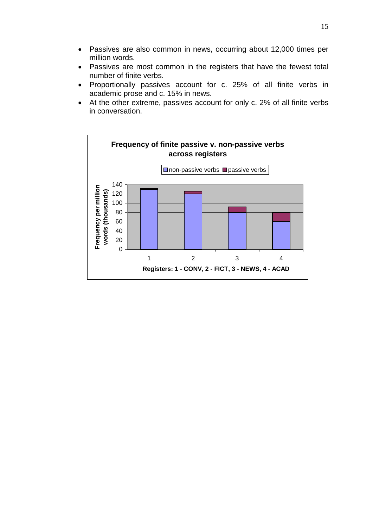- Passives are also common in news, occurring about 12,000 times per million words.
- Passives are most common in the registers that have the fewest total number of finite verbs.
- Proportionally passives account for c. 25% of all finite verbs in academic prose and c. 15% in news.
- At the other extreme, passives account for only c. 2% of all finite verbs in conversation.

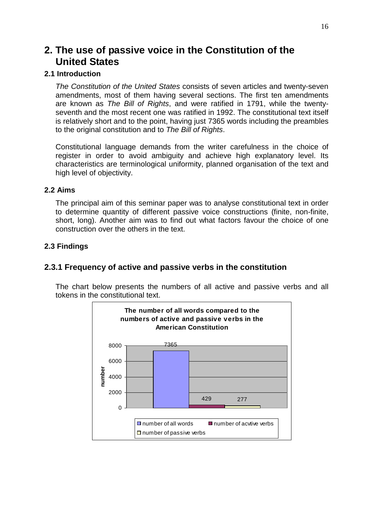# <span id="page-15-0"></span>**2. The use of passive voice in the Constitution of the United States**

# <span id="page-15-1"></span>**2.1 Introduction**

*The Constitution of the United States* consists of seven articles and twenty-seven amendments, most of them having several sections. The first ten amendments are known as *The Bill of Rights*, and were ratified in 1791, while the twentyseventh and the most recent one was ratified in 1992. The constitutional text itself is relatively short and to the point, having just 7365 words including the preambles to the original constitution and to *The Bill of Rights*.

Constitutional language demands from the writer carefulness in the choice of register in order to avoid ambiguity and achieve high explanatory level. Its characteristics are terminological uniformity, planned organisation of the text and high level of objectivity.

#### <span id="page-15-2"></span>**2.2 Aims**

The principal aim of this seminar paper was to analyse constitutional text in order to determine quantity of different passive voice constructions (finite, non-finite, short, long). Another aim was to find out what factors favour the choice of one construction over the others in the text.

#### <span id="page-15-3"></span>**2.3 Findings**

# <span id="page-15-4"></span>**2.3.1 Frequency of active and passive verbs in the constitution**

The chart below presents the numbers of all active and passive verbs and all tokens in the constitutional text.

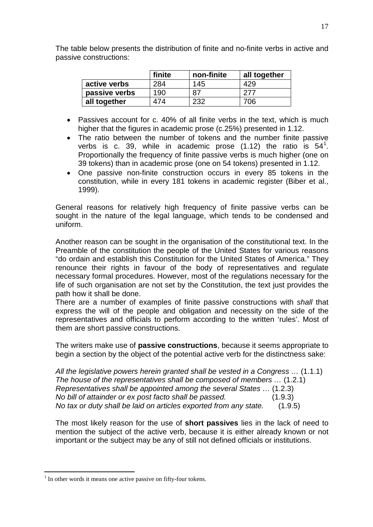|               | finite | non-finite | all together |
|---------------|--------|------------|--------------|
| active verbs  | 284    | 145        | 429          |
| passive verbs | 190    | 87         |              |
| all together  | 174    | 232        | 706          |

The table below presents the distribution of finite and no-finite verbs in active and passive constructions:

- Passives account for c. 40% of all finite verbs in the text, which is much higher that the figures in academic prose (c.25%) presented in 1.12.
- The ratio between the number of tokens and the number finite passive verbs is c. 39, while in academic prose  $(1.12)$  $(1.12)$  $(1.12)$  the ratio is  $54<sup>1</sup>$ . Proportionally the frequency of finite passive verbs is much higher (one on 39 tokens) than in academic prose (one on 54 tokens) presented in 1.12.
- One passive non-finite construction occurs in every 85 tokens in the constitution, while in every 181 tokens in academic register (Biber et al., 1999).

General reasons for relatively high frequency of finite passive verbs can be sought in the nature of the legal language, which tends to be condensed and uniform.

Another reason can be sought in the organisation of the constitutional text. In the Preamble of the constitution the people of the United States for various reasons "do ordain and establish this Constitution for the United States of America." They renounce their rights in favour of the body of representatives and regulate necessary formal procedures. However, most of the regulations necessary for the life of such organisation are not set by the Constitution, the text just provides the path how it shall be done.

There are a number of examples of finite passive constructions with *shall* that express the will of the people and obligation and necessity on the side of the representatives and officials to perform according to the written 'rules'. Most of them are short passive constructions.

The writers make use of **passive constructions**, because it seems appropriate to begin a section by the object of the potential active verb for the distinctness sake:

| All the legislative powers herein granted shall be vested in a Congress  (1.1.1) |         |
|----------------------------------------------------------------------------------|---------|
| The house of the representatives shall be composed of members  (1.2.1)           |         |
| Representatives shall be appointed among the several States  (1.2.3)             |         |
| No bill of attainder or ex post facto shall be passed.                           | (1.9.3) |
| No tax or duty shall be laid on articles exported from any state.                | (1.9.5) |

The most likely reason for the use of **short passives** lies in the lack of need to mention the subject of the active verb, because it is either already known or not important or the subject may be any of still not defined officials or institutions.

<span id="page-16-0"></span> $<sup>1</sup>$  In other words it means one active passive on fifty-four tokens.</sup>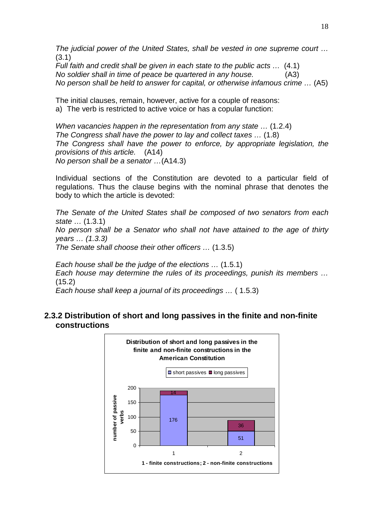*The judicial power of the United States, shall be vested in one supreme court …*  (3.1)

*Full faith and credit shall be given in each state to the public acts …* (4.1) *No soldier shall in time of peace be quartered in any house.* (A3) *No person shall be held to answer for capital, or otherwise infamous crime …* (A5)

The initial clauses, remain, however, active for a couple of reasons: a) The verb is restricted to active voice or has a copular function:

*When vacancies happen in the representation from any state …* (1.2.4) *The Congress shall have the power to lay and collect taxes …* (1.8) *The Congress shall have the power to enforce, by appropriate legislation, the provisions of this article.* (A14) *No person shall be a senator …*(A14.3)

Individual sections of the Constitution are devoted to a particular field of regulations. Thus the clause begins with the nominal phrase that denotes the body to which the article is devoted:

*The Senate of the United States shall be composed of two senators from each state …* (1.3.1)

*No person shall be a Senator who shall not have attained to the age of thirty years … (1.3.3)* 

*The Senate shall choose their other officers …* (1.3.5)

*Each house shall be the judge of the elections …* (1.5.1) *Each house may determine the rules of its proceedings, punish its members …*  (15.2)

*Each house shall keep a journal of its proceedings …* ( 1.5.3)

# <span id="page-17-0"></span>**2.3.2 Distribution of short and long passives in the finite and non-finite constructions**

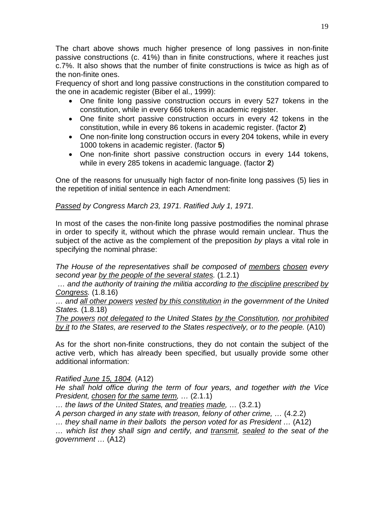The chart above shows much higher presence of long passives in non-finite passive constructions (c. 41%) than in finite constructions, where it reaches just c.7%. It also shows that the number of finite constructions is twice as high as of the non-finite ones.

Frequency of short and long passive constructions in the constitution compared to the one in academic register (Biber el al., 1999):

- One finite long passive construction occurs in every 527 tokens in the constitution, while in every 666 tokens in academic register.
- One finite short passive construction occurs in every 42 tokens in the constitution, while in every 86 tokens in academic register. (factor **2**)
- One non-finite long construction occurs in every 204 tokens, while in every 1000 tokens in academic register. (factor **5**)
- One non-finite short passive construction occurs in every 144 tokens, while in every 285 tokens in academic language. (factor **2**)

One of the reasons for unusually high factor of non-finite long passives (5) lies in the repetition of initial sentence in each Amendment:

*Passed by Congress March 23, 1971. Ratified July 1, 1971.* 

In most of the cases the non-finite long passive postmodifies the nominal phrase in order to specify it, without which the phrase would remain unclear. Thus the subject of the active as the complement of the preposition *by* plays a vital role in specifying the nominal phrase:

*The House of the representatives shall be composed of members chosen every second year by the people of the several states.* (1.2.1)

*… and the authority of training the militia according to the discipline prescribed by Congress.* (1.8.16)

*… and all other powers vested by this constitution in the government of the United States.* (1.8.18)

*The powers not delegated to the United States by the Constitution, nor prohibited by it to the States, are reserved to the States respectively, or to the people.* (A10)

As for the short non-finite constructions, they do not contain the subject of the active verb, which has already been specified, but usually provide some other additional information:

*Ratified June 15, 1804.* (A12)

*He shall hold office during the term of four years, and together with the Vice President, chosen for the same term, …* (2.1.1)

*… the laws of the United States, and treaties made, …* (3.2.1)

*A person charged in any state with treason, felony of other crime, …* (4.2.2)

*… they shall name in their ballots the person voted for as President …* (A12)

*… which list they shall sign and certify, and transmit, sealed to the seat of the government …* (A12)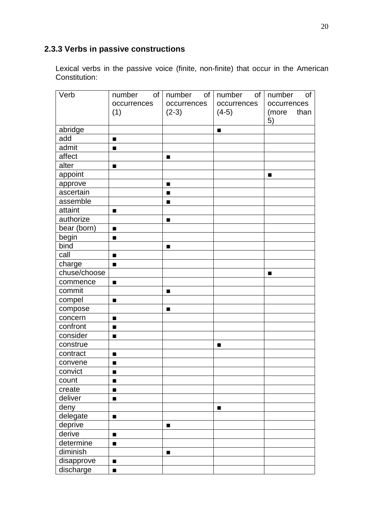# <span id="page-19-0"></span>**2.3.3 Verbs in passive constructions**

Lexical verbs in the passive voice (finite, non-finite) that occur in the American Constitution:

| Verb         | number<br>of   | number<br>of | number<br>of | number<br>of  |
|--------------|----------------|--------------|--------------|---------------|
|              | occurrences    | occurrences  | occurrences  | occurrences   |
|              | (1)            | $(2-3)$      | $(4-5)$      | than<br>(more |
|              |                |              |              | 5)            |
| abridge      |                |              | п            |               |
| add          | п              |              |              |               |
| admit        | п              |              |              |               |
| affect       |                | п            |              |               |
| alter        | п              |              |              |               |
| appoint      |                |              |              | п             |
| approve      |                | п            |              |               |
| ascertain    |                | п            |              |               |
| assemble     |                |              |              |               |
| attaint      | п              |              |              |               |
| authorize    |                | п            |              |               |
| bear (born)  | п              |              |              |               |
| begin        | п              |              |              |               |
| bind         |                | п            |              |               |
| call         | п              |              |              |               |
| charge       | п              |              |              |               |
| chuse/choose |                |              |              | п             |
| commence     | п              |              |              |               |
| commit       |                | п            |              |               |
| compel       | п              |              |              |               |
| compose      |                | п            |              |               |
| concern      | $\blacksquare$ |              |              |               |
| confront     | п              |              |              |               |
| consider     | $\blacksquare$ |              |              |               |
| construe     |                |              | п            |               |
| contract     | п              |              |              |               |
| convene      | п              |              |              |               |
| convict      |                |              |              |               |
| count        | п              |              |              |               |
| create       | $\blacksquare$ |              |              |               |
| deliver      | $\blacksquare$ |              |              |               |
| deny         |                |              | п            |               |
| delegate     | $\blacksquare$ |              |              |               |
| deprive      |                | п            |              |               |
| derive       | $\blacksquare$ |              |              |               |
| determine    | п              |              |              |               |
| diminish     |                | п            |              |               |
| disapprove   | п              |              |              |               |
| discharge    | $\blacksquare$ |              |              |               |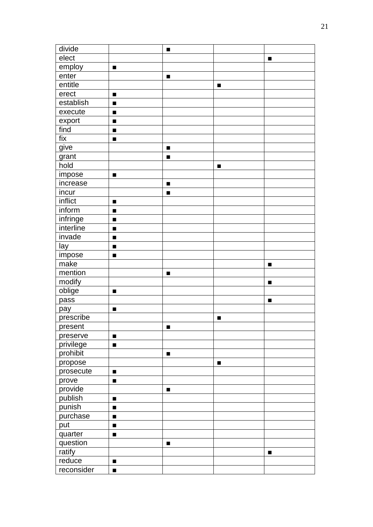| divide     |                | п              |   |   |
|------------|----------------|----------------|---|---|
| elect      |                |                |   | п |
| employ     | п              |                |   |   |
| enter      |                | п              |   |   |
| entitle    |                |                | п |   |
| erect      | п              |                |   |   |
| establish  | п              |                |   |   |
| execute    | п              |                |   |   |
| export     | п              |                |   |   |
| find       | п              |                |   |   |
| fix        | $\blacksquare$ |                |   |   |
| give       |                | $\blacksquare$ |   |   |
| grant      |                | п              |   |   |
| hold       |                |                | п |   |
| impose     | п              |                |   |   |
| increase   |                | ■              |   |   |
| incur      |                | ■              |   |   |
| inflict    | $\blacksquare$ |                |   |   |
| inform     | п              |                |   |   |
| infringe   | п              |                |   |   |
| interline  | п              |                |   |   |
| invade     | п              |                |   |   |
| lay        | $\blacksquare$ |                |   |   |
| impose     | $\blacksquare$ |                |   |   |
| make       |                |                |   | п |
| mention    |                | п              |   |   |
| modify     |                |                |   | п |
| oblige     | п              |                |   |   |
| pass       |                |                |   |   |
| pay        | п              |                |   |   |
| prescribe  |                |                | п |   |
| present    |                | ■              |   |   |
| preserve   | п              |                |   |   |
| privilege  | п              |                |   |   |
| prohibit   |                | п              |   |   |
| propose    |                |                | п |   |
| prosecute  | $\blacksquare$ |                |   |   |
| prove      | п              |                |   |   |
| provide    |                | п              |   |   |
| publish    | п              |                |   |   |
| punish     | п              |                |   |   |
| purchase   | $\blacksquare$ |                |   |   |
| put        | п              |                |   |   |
| quarter    | п              |                |   |   |
| question   |                | ■              |   |   |
| ratify     |                |                |   | ш |
| reduce     | п              |                |   |   |
| reconsider | п              |                |   |   |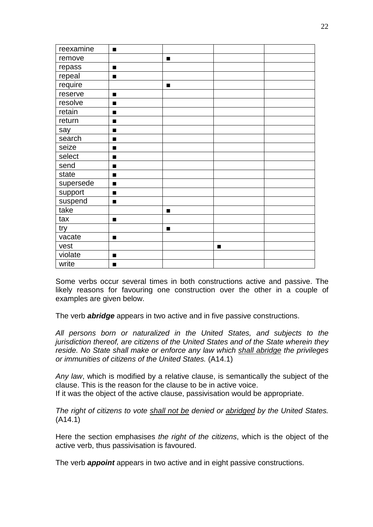| reexamine | п              |                |   |  |
|-----------|----------------|----------------|---|--|
| remove    |                | $\blacksquare$ |   |  |
| repass    | п              |                |   |  |
| repeal    | $\blacksquare$ |                |   |  |
| require   |                | п              |   |  |
| reserve   | п              |                |   |  |
| resolve   | п              |                |   |  |
| retain    | п              |                |   |  |
| return    | п              |                |   |  |
| say       | п              |                |   |  |
| search    | п              |                |   |  |
| seize     | $\blacksquare$ |                |   |  |
| select    | п              |                |   |  |
| send      | $\blacksquare$ |                |   |  |
| state     | п              |                |   |  |
| supersede | $\blacksquare$ |                |   |  |
| support   | п              |                |   |  |
| suspend   | $\blacksquare$ |                |   |  |
| take      |                | п              |   |  |
| tax       | $\blacksquare$ |                |   |  |
| try       |                | п              |   |  |
| vacate    | $\blacksquare$ |                |   |  |
| vest      |                |                | п |  |
| violate   | п              |                |   |  |
| write     | п              |                |   |  |

Some verbs occur several times in both constructions active and passive. The likely reasons for favouring one construction over the other in a couple of examples are given below.

The verb *abridge* appears in two active and in five passive constructions.

*All persons born or naturalized in the United States, and subjects to the jurisdiction thereof, are citizens of the United States and of the State wherein they reside. No State shall make or enforce any law which shall abridge the privileges or immunities of citizens of the United States.* (A14.1)

*Any law*, which is modified by a relative clause, is semantically the subject of the clause. This is the reason for the clause to be in active voice. If it was the object of the active clause, passivisation would be appropriate.

*The right of citizens to vote shall not be denied or abridged by the United States.*  (A14.1)

Here the section emphasises *the right of the citizens*, which is the object of the active verb, thus passivisation is favoured.

The verb *appoint* appears in two active and in eight passive constructions.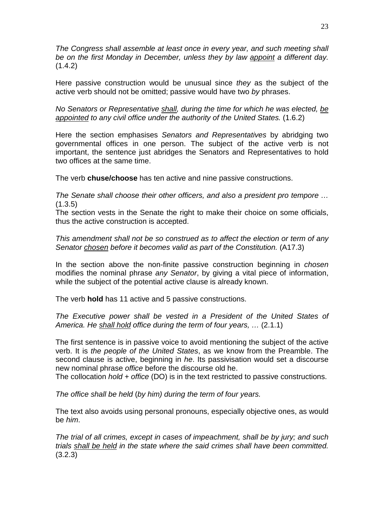*The Congress shall assemble at least once in every year, and such meeting shall be on the first Monday in December, unless they by law appoint a different day.*  $(1.4.2)$ 

Here passive construction would be unusual since *they* as the subject of the active verb should not be omitted; passive would have two *by* phrases.

*No Senators or Representative shall, during the time for which he was elected, be appointed to any civil office under the authority of the United States.* (1.6.2)

Here the section emphasises *Senators and Representatives* by abridging two governmental offices in one person. The subject of the active verb is not important, the sentence just abridges the Senators and Representatives to hold two offices at the same time.

The verb **chuse/choose** has ten active and nine passive constructions.

*The Senate shall choose their other officers, and also a president pro tempore …*  $(1.3.5)$ 

The section vests in the Senate the right to make their choice on some officials, thus the active construction is accepted.

*This amendment shall not be so construed as to affect the election or term of any Senator chosen before it becomes valid as part of the Constitution.* (A17.3)

In the section above the non-finite passive construction beginning in *chosen* modifies the nominal phrase *any Senator*, by giving a vital piece of information, while the subject of the potential active clause is already known.

The verb **hold** has 11 active and 5 passive constructions.

*The Executive power shall be vested in a President of the United States of America. He shall hold office during the term of four years, …* (2.1.1)

The first sentence is in passive voice to avoid mentioning the subject of the active verb. It is *the people of the United States*, as we know from the Preamble. The second clause is active, beginning in *he*. Its passivisation would set a discourse new nominal phrase *office* before the discourse old he.

The collocation *hold + office* (DO) is in the text restricted to passive constructions.

*The office shall be held* (*by him) during the term of four years.* 

The text also avoids using personal pronouns, especially objective ones, as would be *him*.

*The trial of all crimes, except in cases of impeachment, shall be by jury; and such trials shall be held in the state where the said crimes shall have been committed.* (3.2.3)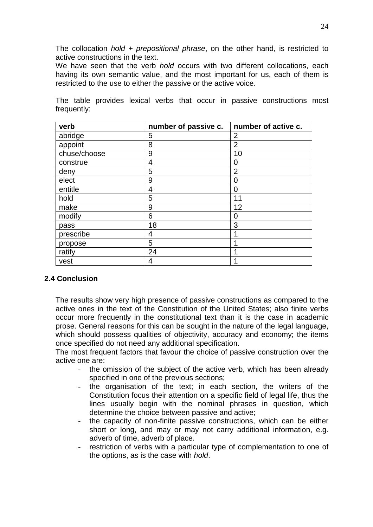The collocation *hold + prepositional phrase*, on the other hand, is restricted to active constructions in the text.

We have seen that the verb *hold* occurs with two different collocations, each having its own semantic value, and the most important for us, each of them is restricted to the use to either the passive or the active voice.

The table provides lexical verbs that occur in passive constructions most frequently:

| verb         | number of passive c. | number of active c. |
|--------------|----------------------|---------------------|
| abridge      | 5                    | 2                   |
| appoint      | 8                    | $\overline{2}$      |
| chuse/choose | 9                    | 10                  |
| construe     | 4                    | 0                   |
| deny         | 5                    | $\overline{2}$      |
| elect        | 9                    | 0                   |
| entitle      | 4                    | 0                   |
| hold         | 5                    | 11                  |
| make         | 9                    | 12                  |
| modify       | 6                    | 0                   |
| pass         | 18                   | 3                   |
| prescribe    | 4                    |                     |
| propose      | 5                    |                     |
| ratify       | 24                   |                     |
| vest         | 4                    |                     |

# <span id="page-23-0"></span>**2.4 Conclusion**

The results show very high presence of passive constructions as compared to the active ones in the text of the Constitution of the United States; also finite verbs occur more frequently in the constitutional text than it is the case in academic prose. General reasons for this can be sought in the nature of the legal language, which should possess qualities of objectivity, accuracy and economy; the items once specified do not need any additional specification.

The most frequent factors that favour the choice of passive construction over the active one are:

- the omission of the subject of the active verb, which has been already specified in one of the previous sections;
- the organisation of the text; in each section, the writers of the Constitution focus their attention on a specific field of legal life, thus the lines usually begin with the nominal phrases in question, which determine the choice between passive and active;
- the capacity of non-finite passive constructions, which can be either short or long, and may or may not carry additional information, e.g. adverb of time, adverb of place.
- restriction of verbs with a particular type of complementation to one of the options, as is the case with *hold*.